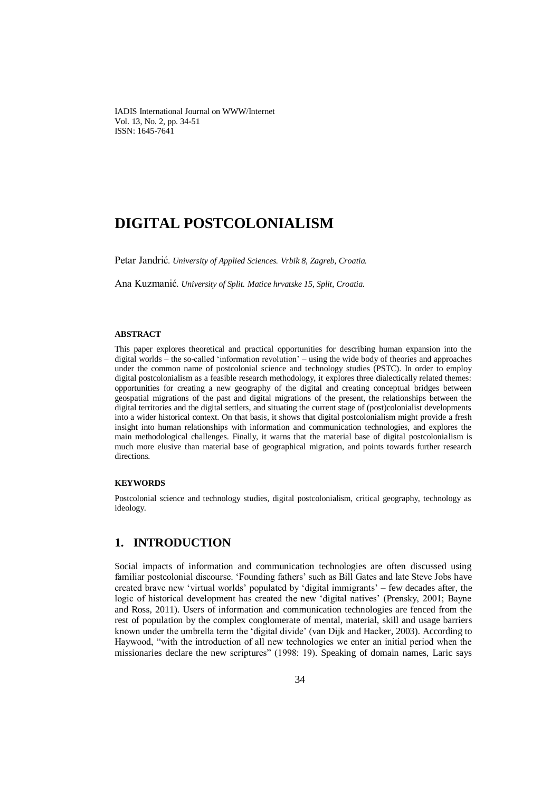IADIS International Journal on WWW/Internet Vol. 13, No. 2, pp. 34-51 ISSN: 1645-7641

# **DIGITAL POSTCOLONIALISM**

Petar Jandrić*. University of Applied Sciences. Vrbik 8, Zagreb, Croatia.*

Ana Kuzmanić*. University of Split. Matice hrvatske 15, Split, Croatia.*

#### **ABSTRACT**

This paper explores theoretical and practical opportunities for describing human expansion into the digital worlds – the so-called 'information revolution' – using the wide body of theories and approaches under the common name of postcolonial science and technology studies (PSTC). In order to employ digital postcolonialism as a feasible research methodology, it explores three dialectically related themes: opportunities for creating a new geography of the digital and creating conceptual bridges between geospatial migrations of the past and digital migrations of the present, the relationships between the digital territories and the digital settlers, and situating the current stage of (post)colonialist developments into a wider historical context. On that basis, it shows that digital postcolonialism might provide a fresh insight into human relationships with information and communication technologies, and explores the main methodological challenges. Finally, it warns that the material base of digital postcolonialism is much more elusive than material base of geographical migration, and points towards further research directions.

#### **KEYWORDS**

Postcolonial science and technology studies, digital postcolonialism, critical geography, technology as ideology.

# **1. INTRODUCTION**

Social impacts of information and communication technologies are often discussed using familiar postcolonial discourse. 'Founding fathers' such as Bill Gates and late Steve Jobs have created brave new 'virtual worlds' populated by 'digital immigrants' – few decades after, the logic of historical development has created the new 'digital natives' (Prensky, 2001; Bayne and Ross, 2011). Users of information and communication technologies are fenced from the rest of population by the complex conglomerate of mental, material, skill and usage barriers known under the umbrella term the 'digital divide' (van Dijk and Hacker, 2003). According to Haywood, "with the introduction of all new technologies we enter an initial period when the missionaries declare the new scriptures" (1998: 19). Speaking of domain names, Laric says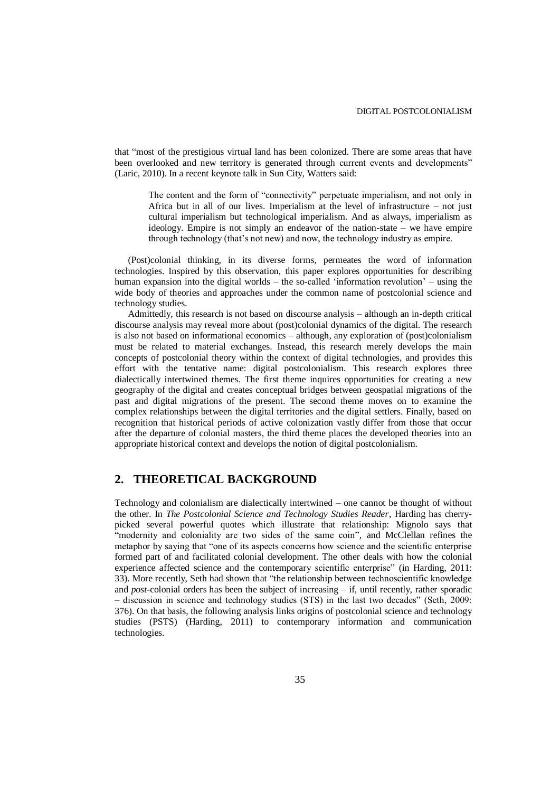that "most of the prestigious virtual land has been colonized. There are some areas that have been overlooked and new territory is generated through current events and developments" (Laric, 2010). In a recent keynote talk in Sun City, Watters said:

The content and the form of "connectivity" perpetuate imperialism, and not only in Africa but in all of our lives. Imperialism at the level of infrastructure – not just cultural imperialism but technological imperialism. And as always, imperialism as ideology. Empire is not simply an endeavor of the nation-state – we have empire through technology (that's not new) and now, the technology industry as empire.

(Post)colonial thinking, in its diverse forms, permeates the word of information technologies. Inspired by this observation, this paper explores opportunities for describing human expansion into the digital worlds – the so-called 'information revolution' – using the wide body of theories and approaches under the common name of postcolonial science and technology studies.

Admittedly, this research is not based on discourse analysis – although an in-depth critical discourse analysis may reveal more about (post)colonial dynamics of the digital. The research is also not based on informational economics – although, any exploration of (post)colonialism must be related to material exchanges. Instead, this research merely develops the main concepts of postcolonial theory within the context of digital technologies, and provides this effort with the tentative name: digital postcolonialism. This research explores three dialectically intertwined themes. The first theme inquires opportunities for creating a new geography of the digital and creates conceptual bridges between geospatial migrations of the past and digital migrations of the present. The second theme moves on to examine the complex relationships between the digital territories and the digital settlers. Finally, based on recognition that historical periods of active colonization vastly differ from those that occur after the departure of colonial masters, the third theme places the developed theories into an appropriate historical context and develops the notion of digital postcolonialism.

#### **2. THEORETICAL BACKGROUND**

Technology and colonialism are dialectically intertwined – one cannot be thought of without the other. In *The Postcolonial Science and Technology Studies Reader*, Harding has cherrypicked several powerful quotes which illustrate that relationship: Mignolo says that "modernity and coloniality are two sides of the same coin", and McClellan refines the metaphor by saying that "one of its aspects concerns how science and the scientific enterprise formed part of and facilitated colonial development. The other deals with how the colonial experience affected science and the contemporary scientific enterprise" (in Harding, 2011: 33). More recently, Seth had shown that "the relationship between technoscientific knowledge and *post*-colonial orders has been the subject of increasing – if, until recently, rather sporadic – discussion in science and technology studies (STS) in the last two decades" (Seth, 2009: 376). On that basis, the following analysis links origins of postcolonial science and technology studies (PSTS) (Harding, 2011) to contemporary information and communication technologies.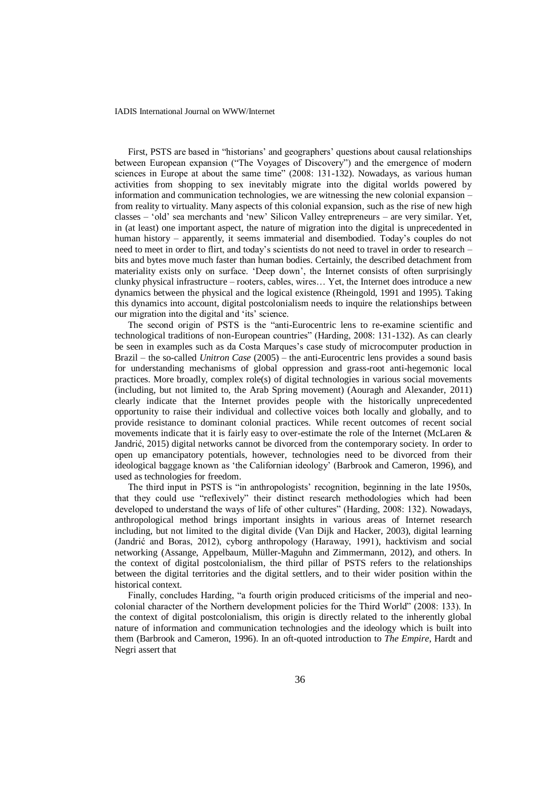First, PSTS are based in "historians' and geographers' questions about causal relationships between European expansion ("The Voyages of Discovery") and the emergence of modern sciences in Europe at about the same time" (2008: 131-132). Nowadays, as various human activities from shopping to sex inevitably migrate into the digital worlds powered by information and communication technologies, we are witnessing the new colonial expansion – from reality to virtuality. Many aspects of this colonial expansion, such as the rise of new high classes – 'old' sea merchants and 'new' Silicon Valley entrepreneurs – are very similar. Yet, in (at least) one important aspect, the nature of migration into the digital is unprecedented in human history – apparently, it seems immaterial and disembodied. Today's couples do not need to meet in order to flirt, and today's scientists do not need to travel in order to research – bits and bytes move much faster than human bodies. Certainly, the described detachment from materiality exists only on surface. 'Deep down', the Internet consists of often surprisingly clunky physical infrastructure – rooters, cables, wires… Yet, the Internet does introduce a new dynamics between the physical and the logical existence (Rheingold, 1991 and 1995). Taking this dynamics into account, digital postcolonialism needs to inquire the relationships between our migration into the digital and 'its' science.

The second origin of PSTS is the "anti-Eurocentric lens to re-examine scientific and technological traditions of non-European countries" (Harding, 2008: 131-132). As can clearly be seen in examples such as da Costa Marques's case study of microcomputer production in Brazil – the so-called *Unitron Case* (2005) – the anti-Eurocentric lens provides a sound basis for understanding mechanisms of global oppression and grass-root anti-hegemonic local practices. More broadly, complex role(s) of digital technologies in various social movements (including, but not limited to, the Arab Spring movement) (Aouragh and Alexander, 2011) clearly indicate that the Internet provides people with the historically unprecedented opportunity to raise their individual and collective voices both locally and globally, and to provide resistance to dominant colonial practices. While recent outcomes of recent social movements indicate that it is fairly easy to over-estimate the role of the Internet (McLaren  $\&$ Jandrić, 2015) digital networks cannot be divorced from the contemporary society. In order to open up emancipatory potentials, however, technologies need to be divorced from their ideological baggage known as 'the Californian ideology' (Barbrook and Cameron, 1996), and used as technologies for freedom.

The third input in PSTS is "in anthropologists' recognition, beginning in the late 1950s, that they could use "reflexively" their distinct research methodologies which had been developed to understand the ways of life of other cultures" (Harding, 2008: 132). Nowadays, anthropological method brings important insights in various areas of Internet research including, but not limited to the digital divide (Van Dijk and Hacker, 2003), digital learning (Jandrić and Boras, 2012), cyborg anthropology (Haraway, 1991), hacktivism and social networking (Assange, Appelbaum, Müller-Maguhn and Zimmermann, 2012), and others. In the context of digital postcolonialism, the third pillar of PSTS refers to the relationships between the digital territories and the digital settlers, and to their wider position within the historical context.

Finally, concludes Harding, "a fourth origin produced criticisms of the imperial and neocolonial character of the Northern development policies for the Third World" (2008: 133). In the context of digital postcolonialism, this origin is directly related to the inherently global nature of information and communication technologies and the ideology which is built into them (Barbrook and Cameron, 1996). In an oft-quoted introduction to *The Empire*, Hardt and Negri assert that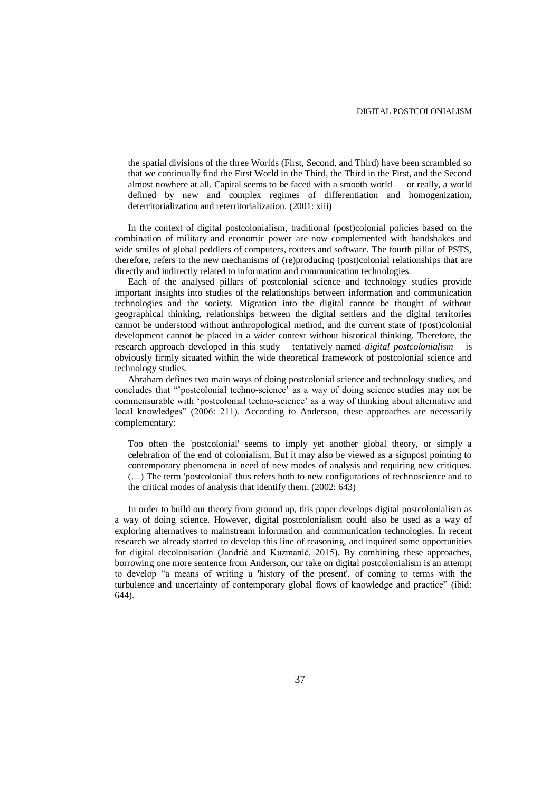the spatial divisions of the three Worlds (First, Second, and Third) have been scrambled so that we continually find the First World in the Third, the Third in the First, and the Second almost nowhere at all. Capital seems to be faced with a smooth world — or really, a world defined by new and complex regimes of differentiation and homogenization, deterritorialization and reterritorialization. (2001: xiii)

In the context of digital postcolonialism, traditional (post)colonial policies based on the combination of military and economic power are now complemented with handshakes and wide smiles of global peddlers of computers, routers and software. The fourth pillar of PSTS, therefore, refers to the new mechanisms of (re)producing (post)colonial relationships that are directly and indirectly related to information and communication technologies.

Each of the analysed pillars of postcolonial science and technology studies provide important insights into studies of the relationships between information and communication technologies and the society. Migration into the digital cannot be thought of without geographical thinking, relationships between the digital settlers and the digital territories cannot be understood without anthropological method, and the current state of (post)colonial development cannot be placed in a wider context without historical thinking. Therefore, the research approach developed in this study – tentatively named *digital postcolonialism* – is obviously firmly situated within the wide theoretical framework of postcolonial science and technology studies.

Abraham defines two main ways of doing postcolonial science and technology studies, and concludes that "'postcolonial techno-science' as a way of doing science studies may not be commensurable with 'postcolonial techno-science' as a way of thinking about alternative and local knowledges" (2006: 211). According to Anderson, these approaches are necessarily complementary:

Too often the 'postcolonial' seems to imply yet another global theory, or simply a celebration of the end of colonialism. But it may also be viewed as a signpost pointing to contemporary phenomena in need of new modes of analysis and requiring new critiques. (…) The term 'postcolonial' thus refers both to new configurations of technoscience and to the critical modes of analysis that identify them. (2002: 643)

In order to build our theory from ground up, this paper develops digital postcolonialism as a way of doing science. However, digital postcolonialism could also be used as a way of exploring alternatives to mainstream information and communication technologies. In recent research we already started to develop this line of reasoning, and inquired some opportunities for digital decolonisation (Jandrić and Kuzmanić, 2015). By combining these approaches, borrowing one more sentence from Anderson, our take on digital postcolonialism is an attempt to develop "a means of writing a 'history of the present', of coming to terms with the turbulence and uncertainty of contemporary global flows of knowledge and practice" (ibid: 644).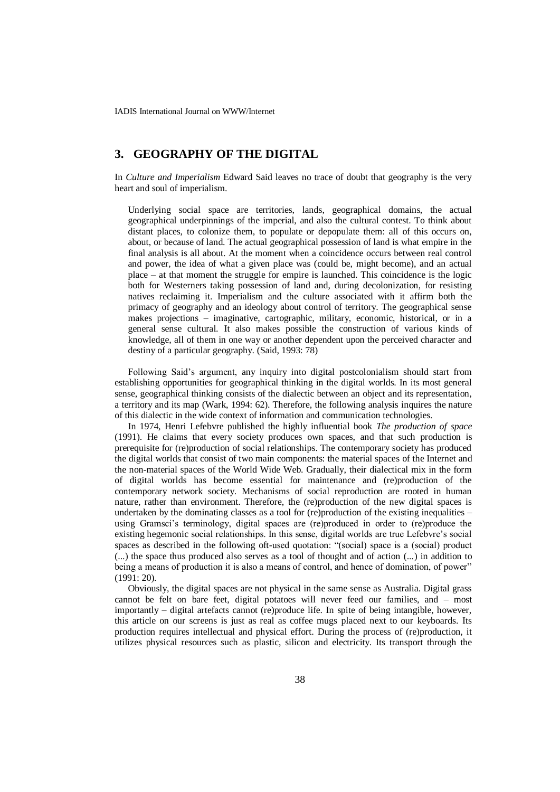### **3. GEOGRAPHY OF THE DIGITAL**

In *Culture and Imperialism* Edward Said leaves no trace of doubt that geography is the very heart and soul of imperialism.

Underlying social space are territories, lands, geographical domains, the actual geographical underpinnings of the imperial, and also the cultural contest. To think about distant places, to colonize them, to populate or depopulate them: all of this occurs on, about, or because of land. The actual geographical possession of land is what empire in the final analysis is all about. At the moment when a coincidence occurs between real control and power, the idea of what a given place was (could be, might become), and an actual place – at that moment the struggle for empire is launched. This coincidence is the logic both for Westerners taking possession of land and, during decolonization, for resisting natives reclaiming it. Imperialism and the culture associated with it affirm both the primacy of geography and an ideology about control of territory. The geographical sense makes projections – imaginative, cartographic, military, economic, historical, or in a general sense cultural. It also makes possible the construction of various kinds of knowledge, all of them in one way or another dependent upon the perceived character and destiny of a particular geography. (Said, 1993: 78)

Following Said's argument, any inquiry into digital postcolonialism should start from establishing opportunities for geographical thinking in the digital worlds. In its most general sense, geographical thinking consists of the dialectic between an object and its representation, a territory and its map (Wark, 1994: 62). Therefore, the following analysis inquires the nature of this dialectic in the wide context of information and communication technologies.

In 1974, Henri Lefebvre published the highly influential book *The production of space* (1991). He claims that every society produces own spaces, and that such production is prerequisite for (re)production of social relationships. The contemporary society has produced the digital worlds that consist of two main components: the material spaces of the Internet and the non-material spaces of the World Wide Web. Gradually, their dialectical mix in the form of digital worlds has become essential for maintenance and (re)production of the contemporary network society. Mechanisms of social reproduction are rooted in human nature, rather than environment. Therefore, the (re)production of the new digital spaces is undertaken by the dominating classes as a tool for (re)production of the existing inequalities – using Gramsci's terminology, digital spaces are (re)produced in order to (re)produce the existing hegemonic social relationships. In this sense, digital worlds are true Lefebvre's social spaces as described in the following oft-used quotation: "(social) space is a (social) product (...) the space thus produced also serves as a tool of thought and of action (...) in addition to being a means of production it is also a means of control, and hence of domination, of power" (1991: 20).

Obviously, the digital spaces are not physical in the same sense as Australia. Digital grass cannot be felt on bare feet, digital potatoes will never feed our families, and – most importantly – digital artefacts cannot (re)produce life. In spite of being intangible, however, this article on our screens is just as real as coffee mugs placed next to our keyboards. Its production requires intellectual and physical effort. During the process of (re)production, it utilizes physical resources such as plastic, silicon and electricity. Its transport through the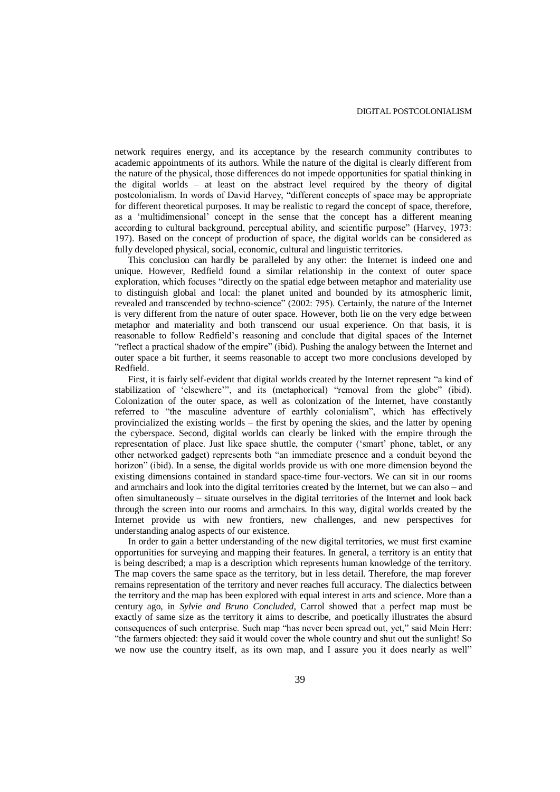network requires energy, and its acceptance by the research community contributes to academic appointments of its authors. While the nature of the digital is clearly different from the nature of the physical, those differences do not impede opportunities for spatial thinking in the digital worlds – at least on the abstract level required by the theory of digital postcolonialism. In words of David Harvey, "different concepts of space may be appropriate for different theoretical purposes. It may be realistic to regard the concept of space, therefore, as a 'multidimensional' concept in the sense that the concept has a different meaning according to cultural background, perceptual ability, and scientific purpose" (Harvey, 1973: 197). Based on the concept of production of space, the digital worlds can be considered as fully developed physical, social, economic, cultural and linguistic territories.

This conclusion can hardly be paralleled by any other: the Internet is indeed one and unique. However, Redfield found a similar relationship in the context of outer space exploration, which focuses "directly on the spatial edge between metaphor and materiality use to distinguish global and local: the planet united and bounded by its atmospheric limit, revealed and transcended by techno-science" (2002: 795). Certainly, the nature of the Internet is very different from the nature of outer space. However, both lie on the very edge between metaphor and materiality and both transcend our usual experience. On that basis, it is reasonable to follow Redfield's reasoning and conclude that digital spaces of the Internet "reflect a practical shadow of the empire" (ibid). Pushing the analogy between the Internet and outer space a bit further, it seems reasonable to accept two more conclusions developed by Redfield.

First, it is fairly self-evident that digital worlds created by the Internet represent "a kind of stabilization of 'elsewhere'", and its (metaphorical) "removal from the globe" (ibid). Colonization of the outer space, as well as colonization of the Internet, have constantly referred to "the masculine adventure of earthly colonialism", which has effectively provincialized the existing worlds – the first by opening the skies, and the latter by opening the cyberspace. Second, digital worlds can clearly be linked with the empire through the representation of place. Just like space shuttle, the computer ('smart' phone, tablet, or any other networked gadget) represents both "an immediate presence and a conduit beyond the horizon" (ibid). In a sense, the digital worlds provide us with one more dimension beyond the existing dimensions contained in standard space-time four-vectors. We can sit in our rooms and armchairs and look into the digital territories created by the Internet, but we can also – and often simultaneously – situate ourselves in the digital territories of the Internet and look back through the screen into our rooms and armchairs. In this way, digital worlds created by the Internet provide us with new frontiers, new challenges, and new perspectives for understanding analog aspects of our existence.

In order to gain a better understanding of the new digital territories, we must first examine opportunities for surveying and mapping their features. In general, a territory is an entity that is being described; a map is a description which represents human knowledge of the territory. The map covers the same space as the territory, but in less detail. Therefore, the map forever remains representation of the territory and never reaches full accuracy. The dialectics between the territory and the map has been explored with equal interest in arts and science. More than a century ago, in *Sylvie and Bruno Concluded*, Carrol showed that a perfect map must be exactly of same size as the territory it aims to describe, and poetically illustrates the absurd consequences of such enterprise. Such map "has never been spread out, yet," said Mein Herr: "the farmers objected: they said it would cover the whole country and shut out the sunlight! So we now use the country itself, as its own map, and I assure you it does nearly as well"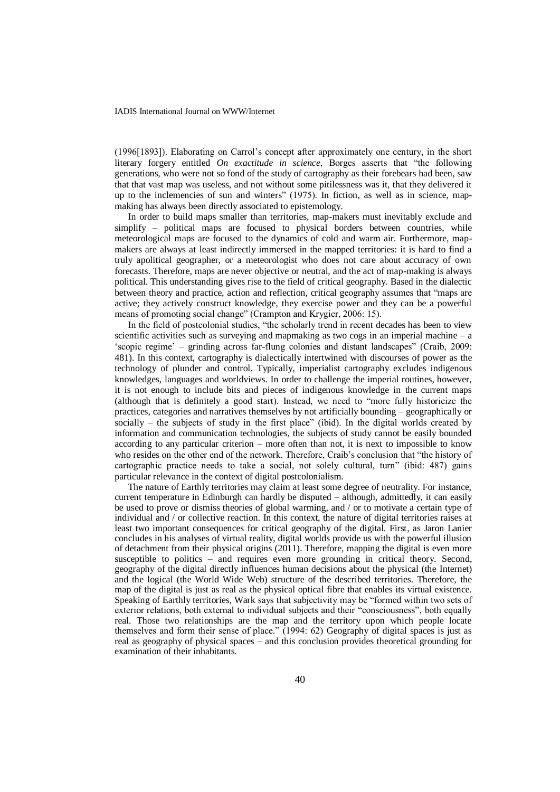(1996[1893]). Elaborating on Carrol's concept after approximately one century, in the short literary forgery entitled *On exactitude in science*, Borges asserts that "the following generations, who were not so fond of the study of cartography as their forebears had been, saw that that vast map was useless, and not without some pitilessness was it, that they delivered it up to the inclemencies of sun and winters" (1975). In fiction, as well as in science, mapmaking has always been directly associated to epistemology.

In order to build maps smaller than territories, map-makers must inevitably exclude and simplify – political maps are focused to physical borders between countries, while meteorological maps are focused to the dynamics of cold and warm air. Furthermore, mapmakers are always at least indirectly immersed in the mapped territories: it is hard to find a truly apolitical geographer, or a meteorologist who does not care about accuracy of own forecasts. Therefore, maps are never objective or neutral, and the act of map-making is always political. This understanding gives rise to the field of critical geography. Based in the dialectic between theory and practice, action and reflection, critical geography assumes that "maps are active; they actively construct knowledge, they exercise power and they can be a powerful means of promoting social change" (Crampton and Krygier, 2006: 15).

In the field of postcolonial studies, "the scholarly trend in recent decades has been to view scientific activities such as surveying and mapmaking as two cogs in an imperial machine – a 'scopic regime' – grinding across far-flung colonies and distant landscapes" (Craib, 2009: 481). In this context, cartography is dialectically intertwined with discourses of power as the technology of plunder and control. Typically, imperialist cartography excludes indigenous knowledges, languages and worldviews. In order to challenge the imperial routines, however, it is not enough to include bits and pieces of indigenous knowledge in the current maps (although that is definitely a good start). Instead, we need to "more fully historicize the practices, categories and narratives themselves by not artificially bounding – geographically or socially – the subjects of study in the first place" (ibid). In the digital worlds created by information and communication technologies, the subjects of study cannot be easily bounded according to any particular criterion – more often than not, it is next to impossible to know who resides on the other end of the network. Therefore, Craib's conclusion that "the history of cartographic practice needs to take a social, not solely cultural, turn" (ibid: 487) gains particular relevance in the context of digital postcolonialism.

The nature of Earthly territories may claim at least some degree of neutrality. For instance, current temperature in Edinburgh can hardly be disputed – although, admittedly, it can easily be used to prove or dismiss theories of global warming, and / or to motivate a certain type of individual and / or collective reaction. In this context, the nature of digital territories raises at least two important consequences for critical geography of the digital. First, as Jaron Lanier concludes in his analyses of virtual reality, digital worlds provide us with the powerful illusion of detachment from their physical origins (2011). Therefore, mapping the digital is even more susceptible to politics – and requires even more grounding in critical theory. Second, geography of the digital directly influences human decisions about the physical (the Internet) and the logical (the World Wide Web) structure of the described territories. Therefore, the map of the digital is just as real as the physical optical fibre that enables its virtual existence. Speaking of Earthly territories, Wark says that subjectivity may be "formed within two sets of exterior relations, both external to individual subjects and their "consciousness", both equally real. Those two relationships are the map and the territory upon which people locate themselves and form their sense of place." (1994: 62) Geography of digital spaces is just as real as geography of physical spaces – and this conclusion provides theoretical grounding for examination of their inhabitants.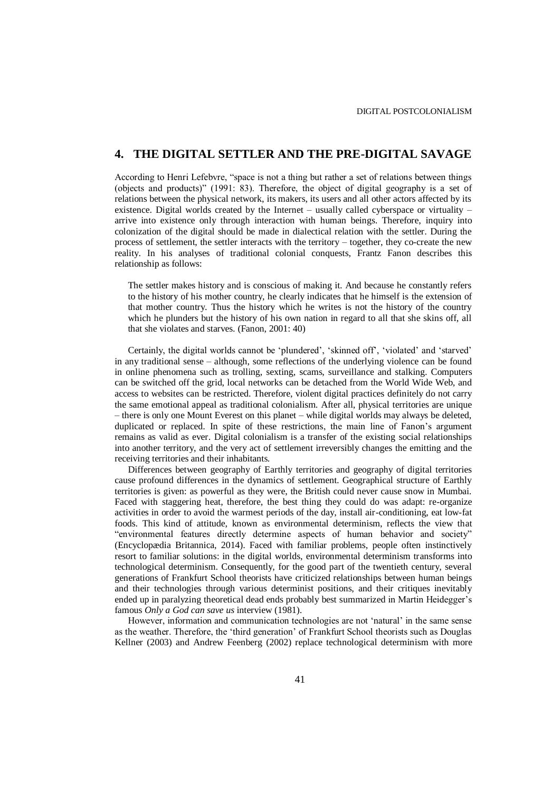### **4. THE DIGITAL SETTLER AND THE PRE-DIGITAL SAVAGE**

According to Henri Lefebvre, "space is not a thing but rather a set of relations between things (objects and products)" (1991: 83). Therefore, the object of digital geography is a set of relations between the physical network, its makers, its users and all other actors affected by its existence. Digital worlds created by the Internet – usually called cyberspace or virtuality – arrive into existence only through interaction with human beings. Therefore, inquiry into colonization of the digital should be made in dialectical relation with the settler. During the process of settlement, the settler interacts with the territory – together, they co-create the new reality. In his analyses of traditional colonial conquests, Frantz Fanon describes this relationship as follows:

The settler makes history and is conscious of making it. And because he constantly refers to the history of his mother country, he clearly indicates that he himself is the extension of that mother country. Thus the history which he writes is not the history of the country which he plunders but the history of his own nation in regard to all that she skins off, all that she violates and starves. (Fanon, 2001: 40)

Certainly, the digital worlds cannot be 'plundered', 'skinned off', 'violated' and 'starved' in any traditional sense – although, some reflections of the underlying violence can be found in online phenomena such as trolling, sexting, scams, surveillance and stalking. Computers can be switched off the grid, local networks can be detached from the World Wide Web, and access to websites can be restricted. Therefore, violent digital practices definitely do not carry the same emotional appeal as traditional colonialism. After all, physical territories are unique – there is only one Mount Everest on this planet – while digital worlds may always be deleted, duplicated or replaced. In spite of these restrictions, the main line of Fanon's argument remains as valid as ever. Digital colonialism is a transfer of the existing social relationships into another territory, and the very act of settlement irreversibly changes the emitting and the receiving territories and their inhabitants.

Differences between geography of Earthly territories and geography of digital territories cause profound differences in the dynamics of settlement. Geographical structure of Earthly territories is given: as powerful as they were, the British could never cause snow in Mumbai. Faced with staggering heat, therefore, the best thing they could do was adapt: re-organize activities in order to avoid the warmest periods of the day, install air-conditioning, eat low-fat foods. This kind of attitude, known as environmental determinism, reflects the view that "environmental features directly determine aspects of human behavior and society" (Encyclopædia Britannica, 2014). Faced with familiar problems, people often instinctively resort to familiar solutions: in the digital worlds, environmental determinism transforms into technological determinism. Consequently, for the good part of the twentieth century, several generations of Frankfurt School theorists have criticized relationships between human beings and their technologies through various determinist positions, and their critiques inevitably ended up in paralyzing theoretical dead ends probably best summarized in Martin Heidegger's famous *Only a God can save us* interview (1981).

However, information and communication technologies are not 'natural' in the same sense as the weather. Therefore, the 'third generation' of Frankfurt School theorists such as Douglas Kellner (2003) and Andrew Feenberg (2002) replace technological determinism with more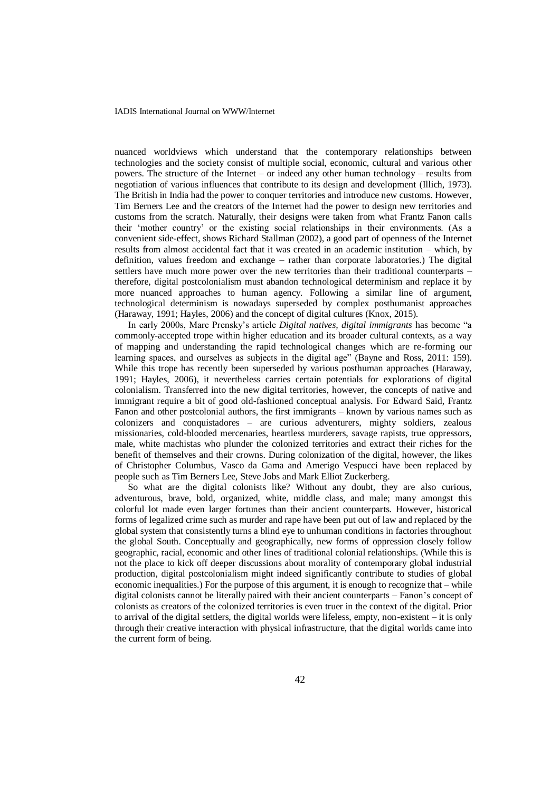nuanced worldviews which understand that the contemporary relationships between technologies and the society consist of multiple social, economic, cultural and various other powers. The structure of the Internet – or indeed any other human technology – results from negotiation of various influences that contribute to its design and development (Illich, 1973). The British in India had the power to conquer territories and introduce new customs. However, Tim Berners Lee and the creators of the Internet had the power to design new territories and customs from the scratch. Naturally, their designs were taken from what Frantz Fanon calls their 'mother country' or the existing social relationships in their environments. (As a convenient side-effect, shows Richard Stallman (2002), a good part of openness of the Internet results from almost accidental fact that it was created in an academic institution – which, by definition, values freedom and exchange – rather than corporate laboratories.) The digital settlers have much more power over the new territories than their traditional counterparts – therefore, digital postcolonialism must abandon technological determinism and replace it by more nuanced approaches to human agency. Following a similar line of argument, technological determinism is nowadays superseded by complex posthumanist approaches (Haraway, 1991; Hayles, 2006) and the concept of digital cultures (Knox, 2015).

In early 2000s, Marc Prensky's article *Digital natives, digital immigrants* has become "a commonly-accepted trope within higher education and its broader cultural contexts, as a way of mapping and understanding the rapid technological changes which are re-forming our learning spaces, and ourselves as subjects in the digital age" (Bayne and Ross, 2011: 159). While this trope has recently been superseded by various posthuman approaches (Haraway, 1991; Hayles, 2006), it nevertheless carries certain potentials for explorations of digital colonialism. Transferred into the new digital territories, however, the concepts of native and immigrant require a bit of good old-fashioned conceptual analysis. For Edward Said, Frantz Fanon and other postcolonial authors, the first immigrants – known by various names such as colonizers and conquistadores – are curious adventurers, mighty soldiers, zealous missionaries, cold-blooded mercenaries, heartless murderers, savage rapists, true oppressors, male, white machistas who plunder the colonized territories and extract their riches for the benefit of themselves and their crowns. During colonization of the digital, however, the likes of Christopher Columbus, Vasco da Gama and Amerigo Vespucci have been replaced by people such as Tim Berners Lee, Steve Jobs and Mark Elliot Zuckerberg.

So what are the digital colonists like? Without any doubt, they are also curious, adventurous, brave, bold, organized, white, middle class, and male; many amongst this colorful lot made even larger fortunes than their ancient counterparts. However, historical forms of legalized crime such as murder and rape have been put out of law and replaced by the global system that consistently turns a blind eye to unhuman conditions in factories throughout the global South. Conceptually and geographically, new forms of oppression closely follow geographic, racial, economic and other lines of traditional colonial relationships. (While this is not the place to kick off deeper discussions about morality of contemporary global industrial production, digital postcolonialism might indeed significantly contribute to studies of global economic inequalities.) For the purpose of this argument, it is enough to recognize that – while digital colonists cannot be literally paired with their ancient counterparts – Fanon's concept of colonists as creators of the colonized territories is even truer in the context of the digital. Prior to arrival of the digital settlers, the digital worlds were lifeless, empty, non-existent – it is only through their creative interaction with physical infrastructure, that the digital worlds came into the current form of being.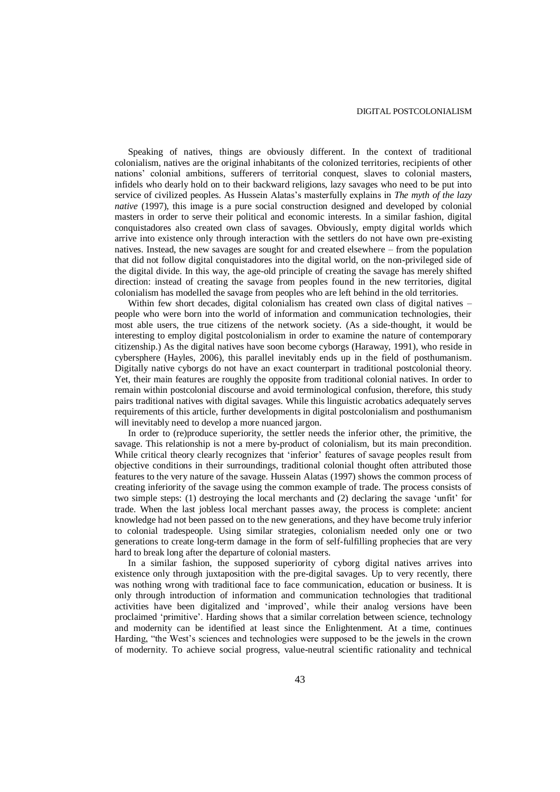Speaking of natives, things are obviously different. In the context of traditional colonialism, natives are the original inhabitants of the colonized territories, recipients of other nations' colonial ambitions, sufferers of territorial conquest, slaves to colonial masters, infidels who dearly hold on to their backward religions, lazy savages who need to be put into service of civilized peoples. As Hussein Alatas's masterfully explains in *The myth of the lazy native* (1997), this image is a pure social construction designed and developed by colonial masters in order to serve their political and economic interests. In a similar fashion, digital conquistadores also created own class of savages. Obviously, empty digital worlds which arrive into existence only through interaction with the settlers do not have own pre-existing natives. Instead, the new savages are sought for and created elsewhere – from the population that did not follow digital conquistadores into the digital world, on the non-privileged side of the digital divide. In this way, the age-old principle of creating the savage has merely shifted direction: instead of creating the savage from peoples found in the new territories, digital colonialism has modelled the savage from peoples who are left behind in the old territories.

Within few short decades, digital colonialism has created own class of digital natives – people who were born into the world of information and communication technologies, their most able users, the true citizens of the network society. (As a side-thought, it would be interesting to employ digital postcolonialism in order to examine the nature of contemporary citizenship.) As the digital natives have soon become cyborgs (Haraway, 1991), who reside in cybersphere (Hayles, 2006), this parallel inevitably ends up in the field of posthumanism. Digitally native cyborgs do not have an exact counterpart in traditional postcolonial theory. Yet, their main features are roughly the opposite from traditional colonial natives. In order to remain within postcolonial discourse and avoid terminological confusion, therefore, this study pairs traditional natives with digital savages. While this linguistic acrobatics adequately serves requirements of this article, further developments in digital postcolonialism and posthumanism will inevitably need to develop a more nuanced jargon.

In order to (re)produce superiority, the settler needs the inferior other, the primitive, the savage. This relationship is not a mere by-product of colonialism, but its main precondition. While critical theory clearly recognizes that 'inferior' features of savage peoples result from objective conditions in their surroundings, traditional colonial thought often attributed those features to the very nature of the savage. Hussein Alatas (1997) shows the common process of creating inferiority of the savage using the common example of trade. The process consists of two simple steps: (1) destroying the local merchants and (2) declaring the savage 'unfit' for trade. When the last jobless local merchant passes away, the process is complete: ancient knowledge had not been passed on to the new generations, and they have become truly inferior to colonial tradespeople. Using similar strategies, colonialism needed only one or two generations to create long-term damage in the form of self-fulfilling prophecies that are very hard to break long after the departure of colonial masters.

In a similar fashion, the supposed superiority of cyborg digital natives arrives into existence only through juxtaposition with the pre-digital savages. Up to very recently, there was nothing wrong with traditional face to face communication, education or business. It is only through introduction of information and communication technologies that traditional activities have been digitalized and 'improved', while their analog versions have been proclaimed 'primitive'. Harding shows that a similar correlation between science, technology and modernity can be identified at least since the Enlightenment. At a time, continues Harding, "the West's sciences and technologies were supposed to be the jewels in the crown of modernity. To achieve social progress, value-neutral scientific rationality and technical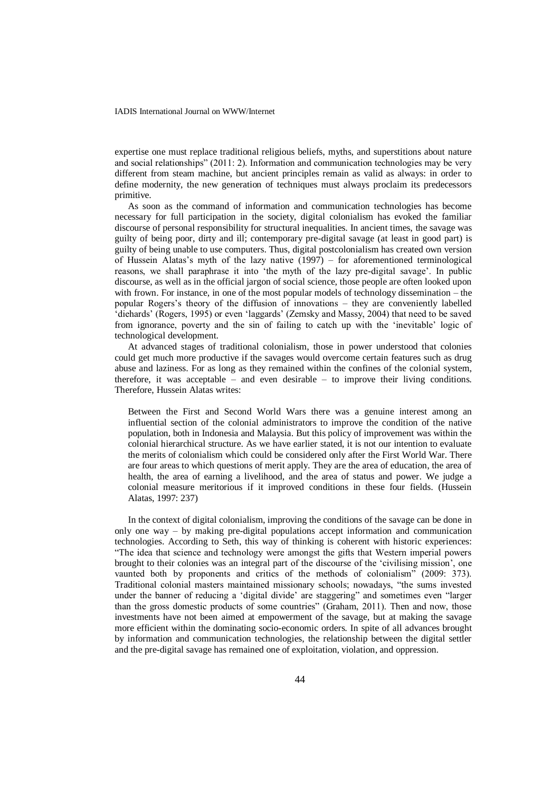expertise one must replace traditional religious beliefs, myths, and superstitions about nature and social relationships" (2011: 2). Information and communication technologies may be very different from steam machine, but ancient principles remain as valid as always: in order to define modernity, the new generation of techniques must always proclaim its predecessors primitive.

As soon as the command of information and communication technologies has become necessary for full participation in the society, digital colonialism has evoked the familiar discourse of personal responsibility for structural inequalities. In ancient times, the savage was guilty of being poor, dirty and ill; contemporary pre-digital savage (at least in good part) is guilty of being unable to use computers. Thus, digital postcolonialism has created own version of Hussein Alatas's myth of the lazy native (1997) – for aforementioned terminological reasons, we shall paraphrase it into 'the myth of the lazy pre-digital savage'. In public discourse, as well as in the official jargon of social science, those people are often looked upon with frown. For instance, in one of the most popular models of technology dissemination – the popular Rogers's theory of the diffusion of innovations – they are conveniently labelled 'diehards' (Rogers, 1995) or even 'laggards' (Zemsky and Massy, 2004) that need to be saved from ignorance, poverty and the sin of failing to catch up with the 'inevitable' logic of technological development.

At advanced stages of traditional colonialism, those in power understood that colonies could get much more productive if the savages would overcome certain features such as drug abuse and laziness. For as long as they remained within the confines of the colonial system, therefore, it was acceptable – and even desirable – to improve their living conditions. Therefore, Hussein Alatas writes:

Between the First and Second World Wars there was a genuine interest among an influential section of the colonial administrators to improve the condition of the native population, both in Indonesia and Malaysia. But this policy of improvement was within the colonial hierarchical structure. As we have earlier stated, it is not our intention to evaluate the merits of colonialism which could be considered only after the First World War. There are four areas to which questions of merit apply. They are the area of education, the area of health, the area of earning a livelihood, and the area of status and power. We judge a colonial measure meritorious if it improved conditions in these four fields. (Hussein Alatas, 1997: 237)

In the context of digital colonialism, improving the conditions of the savage can be done in only one way – by making pre-digital populations accept information and communication technologies. According to Seth, this way of thinking is coherent with historic experiences: "The idea that science and technology were amongst the gifts that Western imperial powers brought to their colonies was an integral part of the discourse of the 'civilising mission', one vaunted both by proponents and critics of the methods of colonialism" (2009: 373). Traditional colonial masters maintained missionary schools; nowadays, "the sums invested under the banner of reducing a 'digital divide' are staggering" and sometimes even "larger than the gross domestic products of some countries" (Graham, 2011). Then and now, those investments have not been aimed at empowerment of the savage, but at making the savage more efficient within the dominating socio-economic orders. In spite of all advances brought by information and communication technologies, the relationship between the digital settler and the pre-digital savage has remained one of exploitation, violation, and oppression.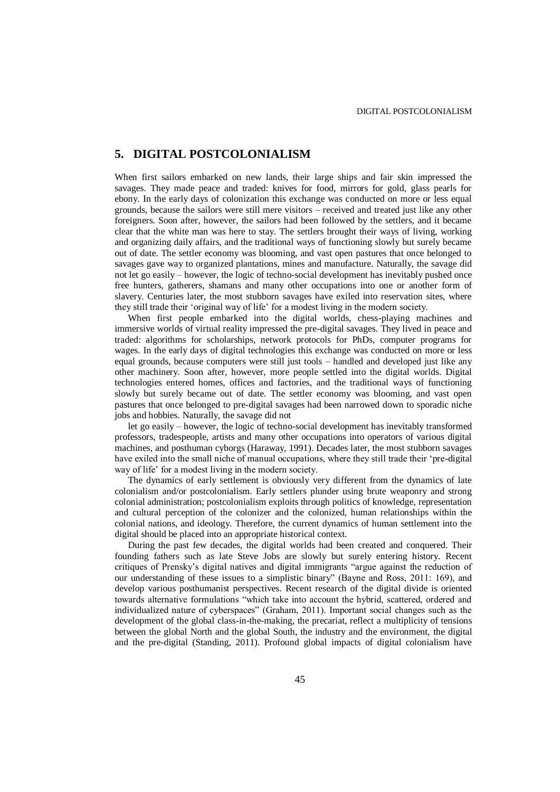### **5. DIGITAL POSTCOLONIALISM**

When first sailors embarked on new lands, their large ships and fair skin impressed the savages. They made peace and traded: knives for food, mirrors for gold, glass pearls for ebony. In the early days of colonization this exchange was conducted on more or less equal grounds, because the sailors were still mere visitors – received and treated just like any other foreigners. Soon after, however, the sailors had been followed by the settlers, and it became clear that the white man was here to stay. The settlers brought their ways of living, working and organizing daily affairs, and the traditional ways of functioning slowly but surely became out of date. The settler economy was blooming, and vast open pastures that once belonged to savages gave way to organized plantations, mines and manufacture. Naturally, the savage did not let go easily – however, the logic of techno-social development has inevitably pushed once free hunters, gatherers, shamans and many other occupations into one or another form of slavery. Centuries later, the most stubborn savages have exiled into reservation sites, where they still trade their 'original way of life' for a modest living in the modern society.

When first people embarked into the digital worlds, chess-playing machines and immersive worlds of virtual reality impressed the pre-digital savages. They lived in peace and traded: algorithms for scholarships, network protocols for PhDs, computer programs for wages. In the early days of digital technologies this exchange was conducted on more or less equal grounds, because computers were still just tools – handled and developed just like any other machinery. Soon after, however, more people settled into the digital worlds. Digital technologies entered homes, offices and factories, and the traditional ways of functioning slowly but surely became out of date. The settler economy was blooming, and vast open pastures that once belonged to pre-digital savages had been narrowed down to sporadic niche jobs and hobbies. Naturally, the savage did not

let go easily – however, the logic of techno-social development has inevitably transformed professors, tradespeople, artists and many other occupations into operators of various digital machines, and posthuman cyborgs (Haraway, 1991). Decades later, the most stubborn savages have exiled into the small niche of manual occupations, where they still trade their 'pre-digital way of life' for a modest living in the modern society.

The dynamics of early settlement is obviously very different from the dynamics of late colonialism and/or postcolonialism. Early settlers plunder using brute weaponry and strong colonial administration; postcolonialism exploits through politics of knowledge, representation and cultural perception of the colonizer and the colonized, human relationships within the colonial nations, and ideology. Therefore, the current dynamics of human settlement into the digital should be placed into an appropriate historical context.

During the past few decades, the digital worlds had been created and conquered. Their founding fathers such as late Steve Jobs are slowly but surely entering history. Recent critiques of Prensky's digital natives and digital immigrants "argue against the reduction of our understanding of these issues to a simplistic binary" (Bayne and Ross, 2011: 169), and develop various posthumanist perspectives. Recent research of the digital divide is oriented towards alternative formulations "which take into account the hybrid, scattered, ordered and individualized nature of cyberspaces" (Graham, 2011). Important social changes such as the development of the global class-in-the-making, the precariat, reflect a multiplicity of tensions between the global North and the global South, the industry and the environment, the digital and the pre-digital (Standing, 2011). Profound global impacts of digital colonialism have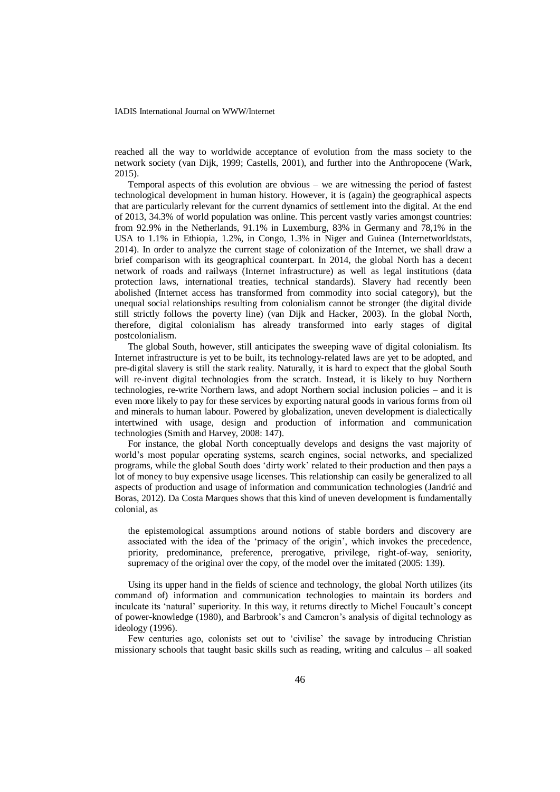reached all the way to worldwide acceptance of evolution from the mass society to the network society (van Dijk, 1999; Castells, 2001), and further into the Anthropocene (Wark, 2015).

Temporal aspects of this evolution are obvious – we are witnessing the period of fastest technological development in human history. However, it is (again) the geographical aspects that are particularly relevant for the current dynamics of settlement into the digital. At the end of 2013, 34.3% of world population was online. This percent vastly varies amongst countries: from 92.9% in the Netherlands, 91.1% in Luxemburg, 83% in Germany and 78,1% in the USA to 1.1% in Ethiopia, 1.2%, in Congo, 1.3% in Niger and Guinea (Internetworldstats, 2014). In order to analyze the current stage of colonization of the Internet, we shall draw a brief comparison with its geographical counterpart. In 2014, the global North has a decent network of roads and railways (Internet infrastructure) as well as legal institutions (data protection laws, international treaties, technical standards). Slavery had recently been abolished (Internet access has transformed from commodity into social category), but the unequal social relationships resulting from colonialism cannot be stronger (the digital divide still strictly follows the poverty line) (van Dijk and Hacker, 2003). In the global North, therefore, digital colonialism has already transformed into early stages of digital postcolonialism.

The global South, however, still anticipates the sweeping wave of digital colonialism. Its Internet infrastructure is yet to be built, its technology-related laws are yet to be adopted, and pre-digital slavery is still the stark reality. Naturally, it is hard to expect that the global South will re-invent digital technologies from the scratch. Instead, it is likely to buy Northern technologies, re-write Northern laws, and adopt Northern social inclusion policies – and it is even more likely to pay for these services by exporting natural goods in various forms from oil and minerals to human labour. Powered by globalization, uneven development is dialectically intertwined with usage, design and production of information and communication technologies (Smith and Harvey, 2008: 147).

For instance, the global North conceptually develops and designs the vast majority of world's most popular operating systems, search engines, social networks, and specialized programs, while the global South does 'dirty work' related to their production and then pays a lot of money to buy expensive usage licenses. This relationship can easily be generalized to all aspects of production and usage of information and communication technologies (Jandrić and Boras, 2012). Da Costa Marques shows that this kind of uneven development is fundamentally colonial, as

the epistemological assumptions around notions of stable borders and discovery are associated with the idea of the 'primacy of the origin', which invokes the precedence, priority, predominance, preference, prerogative, privilege, right-of-way, seniority, supremacy of the original over the copy, of the model over the imitated (2005: 139).

Using its upper hand in the fields of science and technology, the global North utilizes (its command of) information and communication technologies to maintain its borders and inculcate its 'natural' superiority. In this way, it returns directly to Michel Foucault's concept of power-knowledge (1980), and Barbrook's and Cameron's analysis of digital technology as ideology (1996).

Few centuries ago, colonists set out to 'civilise' the savage by introducing Christian missionary schools that taught basic skills such as reading, writing and calculus – all soaked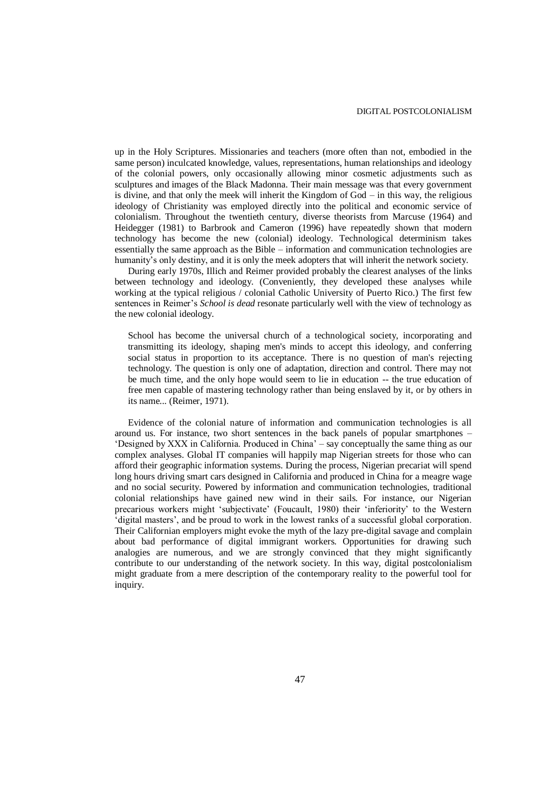up in the Holy Scriptures. Missionaries and teachers (more often than not, embodied in the same person) inculcated knowledge, values, representations, human relationships and ideology of the colonial powers, only occasionally allowing minor cosmetic adjustments such as sculptures and images of the Black Madonna. Their main message was that every government is divine, and that only the meek will inherit the Kingdom of  $God - in this way, the religious$ ideology of Christianity was employed directly into the political and economic service of colonialism. Throughout the twentieth century, diverse theorists from Marcuse (1964) and Heidegger (1981) to Barbrook and Cameron (1996) have repeatedly shown that modern technology has become the new (colonial) ideology. Technological determinism takes essentially the same approach as the Bible – information and communication technologies are humanity's only destiny, and it is only the meek adopters that will inherit the network society.

During early 1970s, Illich and Reimer provided probably the clearest analyses of the links between technology and ideology. (Conveniently, they developed these analyses while working at the typical religious / colonial Catholic University of Puerto Rico.) The first few sentences in Reimer's *School is dead* resonate particularly well with the view of technology as the new colonial ideology.

School has become the universal church of a technological society, incorporating and transmitting its ideology, shaping men's minds to accept this ideology, and conferring social status in proportion to its acceptance. There is no question of man's rejecting technology. The question is only one of adaptation, direction and control. There may not be much time, and the only hope would seem to lie in education -- the true education of free men capable of mastering technology rather than being enslaved by it, or by others in its name... (Reimer, 1971).

Evidence of the colonial nature of information and communication technologies is all around us. For instance, two short sentences in the back panels of popular smartphones – 'Designed by XXX in California. Produced in China' – say conceptually the same thing as our complex analyses. Global IT companies will happily map Nigerian streets for those who can afford their geographic information systems. During the process, Nigerian precariat will spend long hours driving smart cars designed in California and produced in China for a meagre wage and no social security. Powered by information and communication technologies, traditional colonial relationships have gained new wind in their sails. For instance, our Nigerian precarious workers might 'subjectivate' (Foucault, 1980) their 'inferiority' to the Western 'digital masters', and be proud to work in the lowest ranks of a successful global corporation. Their Californian employers might evoke the myth of the lazy pre-digital savage and complain about bad performance of digital immigrant workers. Opportunities for drawing such analogies are numerous, and we are strongly convinced that they might significantly contribute to our understanding of the network society. In this way, digital postcolonialism might graduate from a mere description of the contemporary reality to the powerful tool for inquiry.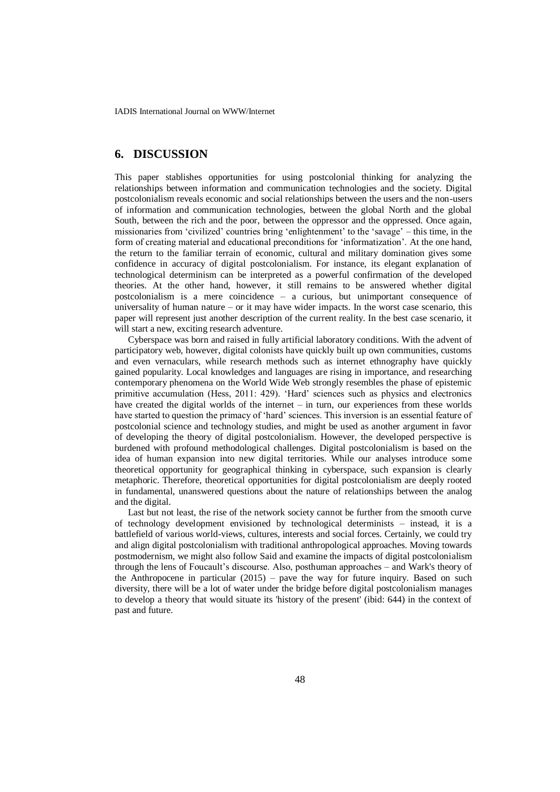### **6. DISCUSSION**

This paper stablishes opportunities for using postcolonial thinking for analyzing the relationships between information and communication technologies and the society. Digital postcolonialism reveals economic and social relationships between the users and the non-users of information and communication technologies, between the global North and the global South, between the rich and the poor, between the oppressor and the oppressed. Once again, missionaries from 'civilized' countries bring 'enlightenment' to the 'savage' – this time, in the form of creating material and educational preconditions for 'informatization'. At the one hand, the return to the familiar terrain of economic, cultural and military domination gives some confidence in accuracy of digital postcolonialism. For instance, its elegant explanation of technological determinism can be interpreted as a powerful confirmation of the developed theories. At the other hand, however, it still remains to be answered whether digital postcolonialism is a mere coincidence – a curious, but unimportant consequence of universality of human nature – or it may have wider impacts. In the worst case scenario, this paper will represent just another description of the current reality. In the best case scenario, it will start a new, exciting research adventure.

Cyberspace was born and raised in fully artificial laboratory conditions. With the advent of participatory web, however, digital colonists have quickly built up own communities, customs and even vernaculars, while research methods such as internet ethnography have quickly gained popularity. Local knowledges and languages are rising in importance, and researching contemporary phenomena on the World Wide Web strongly resembles the phase of epistemic primitive accumulation (Hess, 2011: 429). 'Hard' sciences such as physics and electronics have created the digital worlds of the internet – in turn, our experiences from these worlds have started to question the primacy of 'hard' sciences. This inversion is an essential feature of postcolonial science and technology studies, and might be used as another argument in favor of developing the theory of digital postcolonialism. However, the developed perspective is burdened with profound methodological challenges. Digital postcolonialism is based on the idea of human expansion into new digital territories. While our analyses introduce some theoretical opportunity for geographical thinking in cyberspace, such expansion is clearly metaphoric. Therefore, theoretical opportunities for digital postcolonialism are deeply rooted in fundamental, unanswered questions about the nature of relationships between the analog and the digital.

Last but not least, the rise of the network society cannot be further from the smooth curve of technology development envisioned by technological determinists – instead, it is a battlefield of various world-views, cultures, interests and social forces. Certainly, we could try and align digital postcolonialism with traditional anthropological approaches. Moving towards postmodernism, we might also follow Said and examine the impacts of digital postcolonialism through the lens of Foucault's discourse. Also, posthuman approaches – and Wark's theory of the Anthropocene in particular (2015) – pave the way for future inquiry. Based on such diversity, there will be a lot of water under the bridge before digital postcolonialism manages to develop a theory that would situate its 'history of the present' (ibid: 644) in the context of past and future.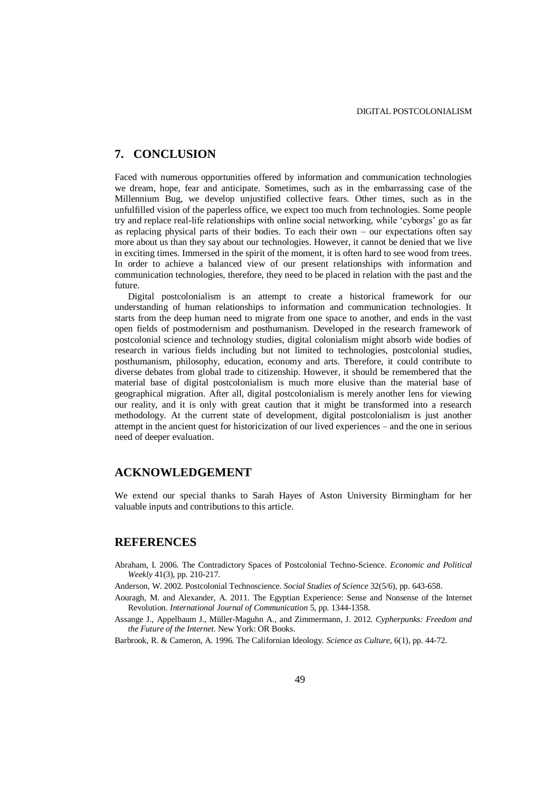## **7. CONCLUSION**

Faced with numerous opportunities offered by information and communication technologies we dream, hope, fear and anticipate. Sometimes, such as in the embarrassing case of the Millennium Bug, we develop unjustified collective fears. Other times, such as in the unfulfilled vision of the paperless office, we expect too much from technologies. Some people try and replace real-life relationships with online social networking, while 'cyborgs' go as far as replacing physical parts of their bodies. To each their own – our expectations often say more about us than they say about our technologies. However, it cannot be denied that we live in exciting times. Immersed in the spirit of the moment, it is often hard to see wood from trees. In order to achieve a balanced view of our present relationships with information and communication technologies, therefore, they need to be placed in relation with the past and the future.

Digital postcolonialism is an attempt to create a historical framework for our understanding of human relationships to information and communication technologies. It starts from the deep human need to migrate from one space to another, and ends in the vast open fields of postmodernism and posthumanism. Developed in the research framework of postcolonial science and technology studies, digital colonialism might absorb wide bodies of research in various fields including but not limited to technologies, postcolonial studies, posthumanism, philosophy, education, economy and arts. Therefore, it could contribute to diverse debates from global trade to citizenship. However, it should be remembered that the material base of digital postcolonialism is much more elusive than the material base of geographical migration. After all, digital postcolonialism is merely another lens for viewing our reality, and it is only with great caution that it might be transformed into a research methodology. At the current state of development, digital postcolonialism is just another attempt in the ancient quest for historicization of our lived experiences – and the one in serious need of deeper evaluation.

#### **ACKNOWLEDGEMENT**

We extend our special thanks to Sarah Hayes of Aston University Birmingham for her valuable inputs and contributions to this article.

### **REFERENCES**

- Abraham, I. 2006. The Contradictory Spaces of Postcolonial Techno-Science. *Economic and Political Weekly* 41(3), pp. 210-217.
- Anderson, W. 2002. Postcolonial Technoscience. *Social Studies of Science* 32(5/6), pp. 643-658.
- Aouragh, M. and Alexander, A. 2011. The Egyptian Experience: Sense and Nonsense of the Internet Revolution. *International Journal of Communication* 5, pp. 1344-1358.
- Assange J., Appelbaum J., Müller-Maguhn A., and Zimmermann, J. 2012. *Cypherpunks: Freedom and the Future of the Internet*. New York: OR Books.

Barbrook, R. & Cameron, A. 1996. The Californian Ideology. *Science as Culture*, 6(1), pp. 44-72.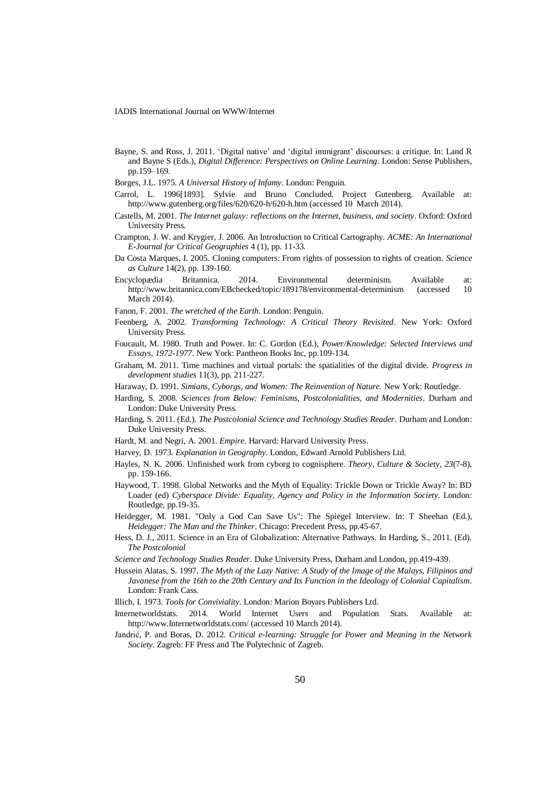- Bayne, S. and Ross, J. 2011. 'Digital native' and 'digital immigrant' discourses: a critique. In: Land R and Bayne S (Eds.), *Digital Difference: Perspectives on Online Learning*. London: Sense Publishers, pp.159–169.
- Borges, J.L. 1975. *A Universal History of Infamy*. London: Penguin.
- Carrol, L. 1996[1893]. Sylvie and Bruno Concluded. Project Gutenberg. Available at: http://www.gutenberg.org/files/620/620-h/620-h.htm (accessed 10 March 2014).
- Castells, M. 2001. *The Internet galaxy: reflections on the Internet, business, and society*. Oxford: Oxford University Press.
- Crampton, J. W. and Krygier, J. 2006. An Introduction to Critical Cartography. *ACME: An International E-Journal for Critical Geographies* 4 (1), pp. 11-33.
- Da Costa Marques, I. 2005. Cloning computers: From rights of possession to rights of creation. *Science as Culture* 14(2), pp. 139-160.
- Encyclopædia Britannica. 2014. Environmental determinism. Available at: http://www.britannica.com/EBchecked/topic/189178/environmental-determinism (accessed 10 March 2014).
- Fanon, F. 2001. *The wretched of the Earth*. London: Penguin.
- Feenberg, A. 2002. *Transforming Technology: A Critical Theory Revisited*. New York: Oxford University Press.
- Foucault, M. 1980. Truth and Power. In: C. Gordon (Ed.), *Power/Knowledge: Selected Interviews and Essays, 1972-1977*. New York: Pantheon Books Inc, pp.109-134.
- Graham, M. 2011. Time machines and virtual portals: the spatialities of the digital divide. *Progress in development studies* 11(3), pp. 211-227.
- Haraway, D. 1991. *Simians, Cyborgs, and Women: The Reinvention of Nature.* New York: Routledge.
- Harding, S. 2008. *Sciences from Below: Feminisms, Postcolonialities, and Modernities*. Durham and London: Duke University Press.
- Harding, S. 2011. (Ed.). *The Postcolonial Science and Technology Studies Reader*. Durham and London: Duke University Press.
- Hardt, M. and Negri, A. 2001. *Empire*. Harvard: Harvard University Press.
- Harvey, D. 1973. *Explanation in Geography*. London, Edward Arnold Publishers Ltd.
- Hayles, N. K. 2006. Unfinished work from cyborg to cognisphere. *Theory, Culture & Society*, *23*(7-8), pp. 159-166.
- Haywood, T. 1998. Global Networks and the Myth of Equality: Trickle Down or Trickle Away? In: BD Loader (ed) *Cyberspace Divide: Equality, Agency and Policy in the Information Society*. London: Routledge, pp.19-35.
- Heidegger, M. 1981. "Only a God Can Save Us": The Spiegel Interview. In: T Sheehan (Ed.), *Heidegger: The Man and the Thinker*. Chicago: Precedent Press, pp.45-67.
- Hess, D. J., 2011. Science in an Era of Globalization: Alternative Pathways. In Harding, S., 2011. (Ed). *The Postcolonial*
- *Science and Technology Studies Reader*. Duke University Press, Durham and London, pp.419-439.
- Hussein Alatas, S. 1997. *The Myth of the Lazy Native: A Study of the Image of the Malays, Filipinos and Javanese from the 16th to the 20th Century and Its Function in the Ideology of Colonial Capitalism*. London: Frank Cass.
- Illich, I. 1973. *Tools for Conviviality*. London: Marion Boyars Publishers Ltd.
- Internetworldstats. 2014. World Internet Users and Population Stats. Available at: http://www.Internetworldstats.com/ (accessed 10 March 2014).
- Jandrić, P. and Boras, D. 2012. *Critical e-learning: Struggle for Power and Meaning in the Network Society*. Zagreb: FF Press and The Polytechnic of Zagreb.